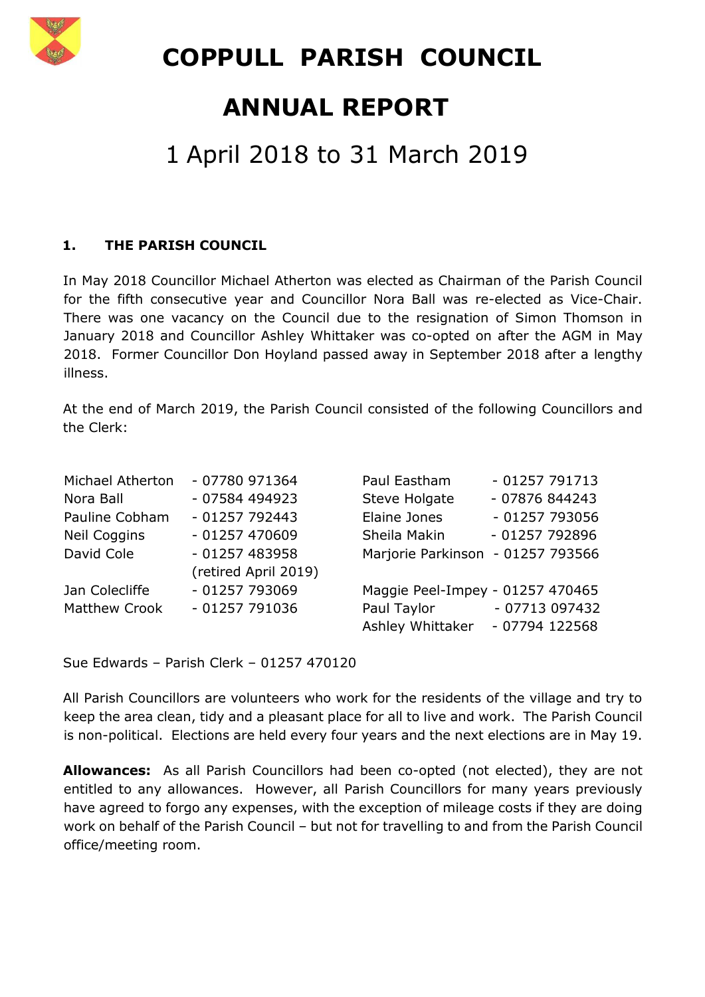

 **COPPULL PARISH COUNCIL**

# **ANNUAL REPORT**

# 1 April 2018 to 31 March 2019

#### **1. THE PARISH COUNCIL**

In May 2018 Councillor Michael Atherton was elected as Chairman of the Parish Council for the fifth consecutive year and Councillor Nora Ball was re-elected as Vice-Chair. There was one vacancy on the Council due to the resignation of Simon Thomson in January 2018 and Councillor Ashley Whittaker was co-opted on after the AGM in May 2018. Former Councillor Don Hoyland passed away in September 2018 after a lengthy illness.

At the end of March 2019, the Parish Council consisted of the following Councillors and the Clerk:

| Michael Atherton     | - 07780 971364       | Paul Eastham                      | $-01257791713$  |
|----------------------|----------------------|-----------------------------------|-----------------|
| Nora Ball            | - 07584 494923       | Steve Holgate                     | - 07876 844243  |
| Pauline Cobham       | $-01257792443$       | Elaine Jones                      | $-01257793056$  |
| <b>Neil Coggins</b>  | $-01257470609$       | Sheila Makin                      | - 01257 792896  |
| David Cole           | $-01257483958$       | Marjorie Parkinson - 01257 793566 |                 |
|                      | (retired April 2019) |                                   |                 |
| Jan Colecliffe       | $-01257793069$       | Maggie Peel-Impey - 01257 470465  |                 |
| <b>Matthew Crook</b> | $-01257791036$       | Paul Taylor                       | $-07713097432$  |
|                      |                      | Ashley Whittaker                  | $-07794$ 122568 |

Sue Edwards – Parish Clerk – 01257 470120

All Parish Councillors are volunteers who work for the residents of the village and try to keep the area clean, tidy and a pleasant place for all to live and work. The Parish Council is non-political. Elections are held every four years and the next elections are in May 19.

**Allowances:** As all Parish Councillors had been co-opted (not elected), they are not entitled to any allowances. However, all Parish Councillors for many years previously have agreed to forgo any expenses, with the exception of mileage costs if they are doing work on behalf of the Parish Council – but not for travelling to and from the Parish Council office/meeting room.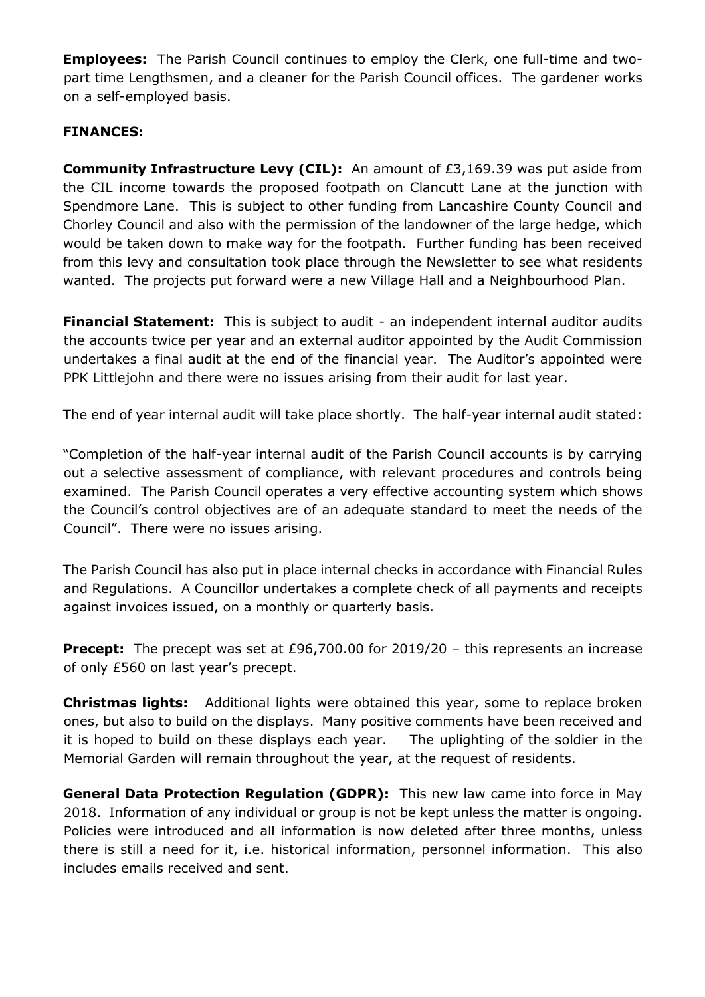**Employees:** The Parish Council continues to employ the Clerk, one full-time and twopart time Lengthsmen, and a cleaner for the Parish Council offices. The gardener works on a self-employed basis.

#### **FINANCES:**

**Community Infrastructure Levy (CIL):** An amount of £3,169.39 was put aside from the CIL income towards the proposed footpath on Clancutt Lane at the junction with Spendmore Lane. This is subject to other funding from Lancashire County Council and Chorley Council and also with the permission of the landowner of the large hedge, which would be taken down to make way for the footpath. Further funding has been received from this levy and consultation took place through the Newsletter to see what residents wanted. The projects put forward were a new Village Hall and a Neighbourhood Plan.

**Financial Statement:** This is subject to audit - an independent internal auditor audits the accounts twice per year and an external auditor appointed by the Audit Commission undertakes a final audit at the end of the financial year. The Auditor's appointed were PPK Littlejohn and there were no issues arising from their audit for last year.

The end of year internal audit will take place shortly. The half-year internal audit stated:

"Completion of the half-year internal audit of the Parish Council accounts is by carrying out a selective assessment of compliance, with relevant procedures and controls being examined. The Parish Council operates a very effective accounting system which shows the Council's control objectives are of an adequate standard to meet the needs of the Council". There were no issues arising.

The Parish Council has also put in place internal checks in accordance with Financial Rules and Regulations. A Councillor undertakes a complete check of all payments and receipts against invoices issued, on a monthly or quarterly basis.

**Precept:** The precept was set at £96,700.00 for 2019/20 - this represents an increase of only £560 on last year's precept.

**Christmas lights:** Additional lights were obtained this year, some to replace broken ones, but also to build on the displays. Many positive comments have been received and it is hoped to build on these displays each year. The uplighting of the soldier in the Memorial Garden will remain throughout the year, at the request of residents.

**General Data Protection Regulation (GDPR):** This new law came into force in May 2018. Information of any individual or group is not be kept unless the matter is ongoing. Policies were introduced and all information is now deleted after three months, unless there is still a need for it, i.e. historical information, personnel information. This also includes emails received and sent.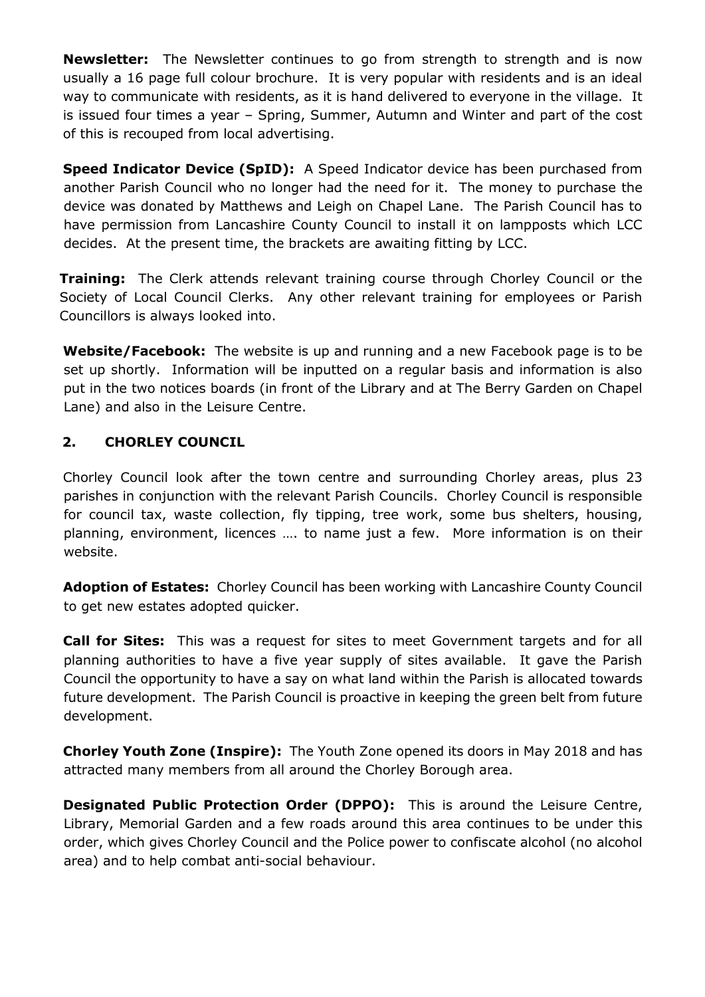**Newsletter:** The Newsletter continues to go from strength to strength and is now usually a 16 page full colour brochure. It is very popular with residents and is an ideal way to communicate with residents, as it is hand delivered to everyone in the village. It is issued four times a year – Spring, Summer, Autumn and Winter and part of the cost of this is recouped from local advertising.

**Speed Indicator Device (SpID):** A Speed Indicator device has been purchased from another Parish Council who no longer had the need for it. The money to purchase the device was donated by Matthews and Leigh on Chapel Lane. The Parish Council has to have permission from Lancashire County Council to install it on lampposts which LCC decides. At the present time, the brackets are awaiting fitting by LCC.

**Training:** The Clerk attends relevant training course through Chorley Council or the Society of Local Council Clerks. Any other relevant training for employees or Parish Councillors is always looked into.

**Website/Facebook:** The website is up and running and a new Facebook page is to be set up shortly. Information will be inputted on a regular basis and information is also put in the two notices boards (in front of the Library and at The Berry Garden on Chapel Lane) and also in the Leisure Centre.

#### **2. CHORLEY COUNCIL**

Chorley Council look after the town centre and surrounding Chorley areas, plus 23 parishes in conjunction with the relevant Parish Councils. Chorley Council is responsible for council tax, waste collection, fly tipping, tree work, some bus shelters, housing, planning, environment, licences …. to name just a few. More information is on their website.

**Adoption of Estates:** Chorley Council has been working with Lancashire County Council to get new estates adopted quicker.

**Call for Sites:** This was a request for sites to meet Government targets and for all planning authorities to have a five year supply of sites available. It gave the Parish Council the opportunity to have a say on what land within the Parish is allocated towards future development. The Parish Council is proactive in keeping the green belt from future development.

**Chorley Youth Zone (Inspire):** The Youth Zone opened its doors in May 2018 and has attracted many members from all around the Chorley Borough area.

**Designated Public Protection Order (DPPO):** This is around the Leisure Centre, Library, Memorial Garden and a few roads around this area continues to be under this order, which gives Chorley Council and the Police power to confiscate alcohol (no alcohol area) and to help combat anti-social behaviour.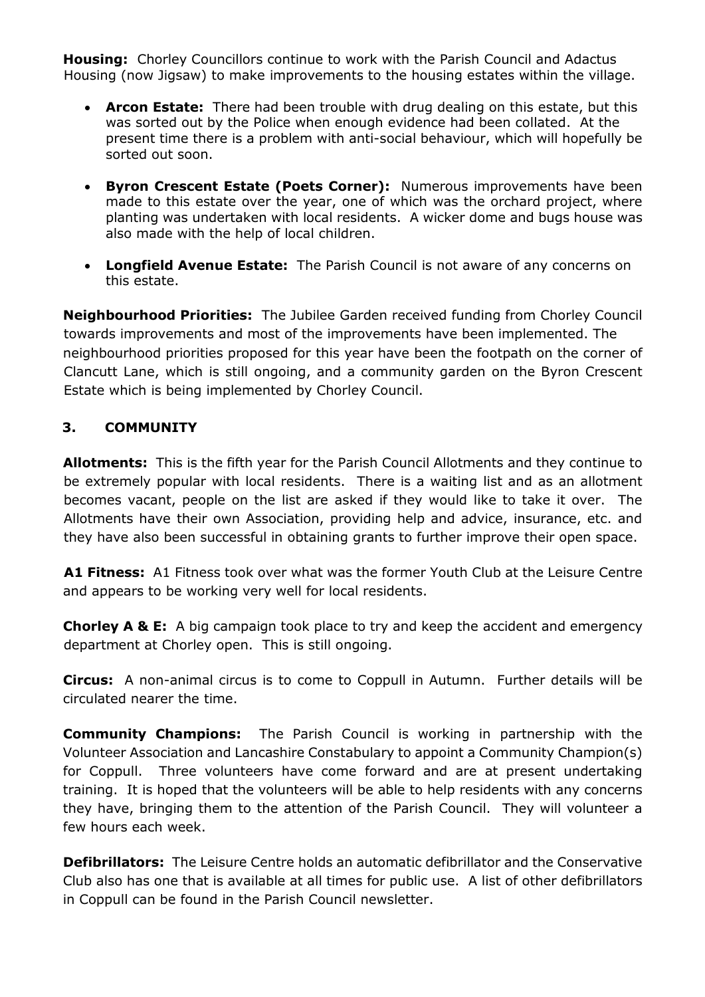**Housing:** Chorley Councillors continue to work with the Parish Council and Adactus Housing (now Jigsaw) to make improvements to the housing estates within the village.

- **Arcon Estate:** There had been trouble with drug dealing on this estate, but this was sorted out by the Police when enough evidence had been collated. At the present time there is a problem with anti-social behaviour, which will hopefully be sorted out soon.
- **Byron Crescent Estate (Poets Corner):** Numerous improvements have been made to this estate over the year, one of which was the orchard project, where planting was undertaken with local residents. A wicker dome and bugs house was also made with the help of local children.
- **Longfield Avenue Estate:** The Parish Council is not aware of any concerns on this estate.

**Neighbourhood Priorities:** The Jubilee Garden received funding from Chorley Council towards improvements and most of the improvements have been implemented. The neighbourhood priorities proposed for this year have been the footpath on the corner of Clancutt Lane, which is still ongoing, and a community garden on the Byron Crescent Estate which is being implemented by Chorley Council.

#### **3. COMMUNITY**

**Allotments:** This is the fifth year for the Parish Council Allotments and they continue to be extremely popular with local residents. There is a waiting list and as an allotment becomes vacant, people on the list are asked if they would like to take it over. The Allotments have their own Association, providing help and advice, insurance, etc. and they have also been successful in obtaining grants to further improve their open space.

**A1 Fitness:** A1 Fitness took over what was the former Youth Club at the Leisure Centre and appears to be working very well for local residents.

**Chorley A & E:** A big campaign took place to try and keep the accident and emergency department at Chorley open. This is still ongoing.

**Circus:** A non-animal circus is to come to Coppull in Autumn. Further details will be circulated nearer the time.

**Community Champions:** The Parish Council is working in partnership with the Volunteer Association and Lancashire Constabulary to appoint a Community Champion(s) for Coppull. Three volunteers have come forward and are at present undertaking training. It is hoped that the volunteers will be able to help residents with any concerns they have, bringing them to the attention of the Parish Council. They will volunteer a few hours each week.

**Defibrillators:** The Leisure Centre holds an automatic defibrillator and the Conservative Club also has one that is available at all times for public use. A list of other defibrillators in Coppull can be found in the Parish Council newsletter.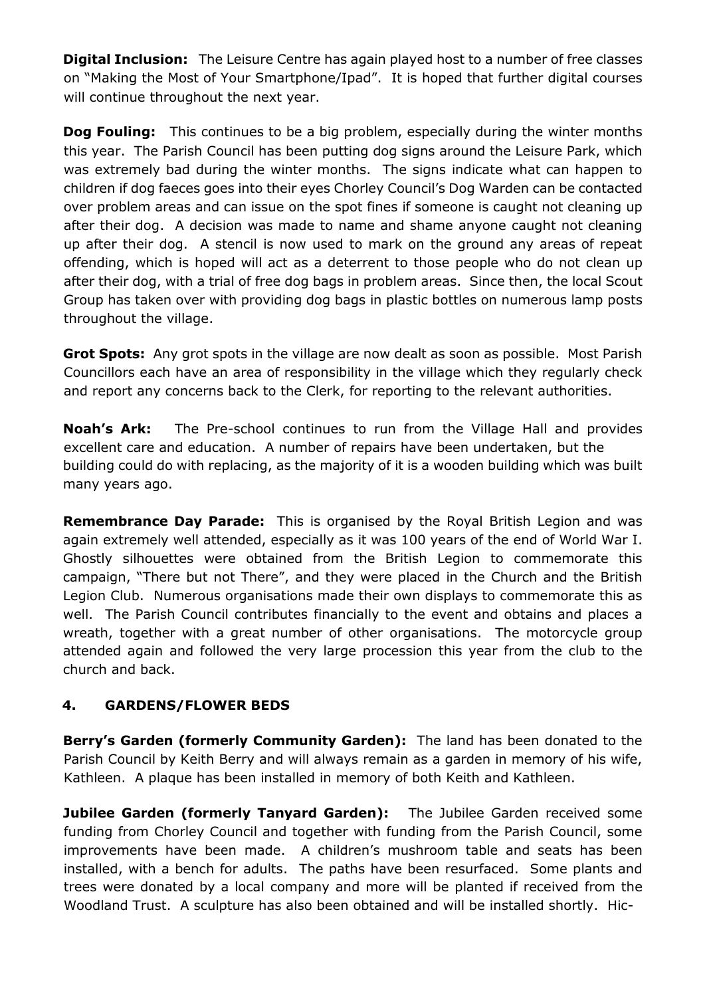**Digital Inclusion:** The Leisure Centre has again played host to a number of free classes on "Making the Most of Your Smartphone/Ipad". It is hoped that further digital courses will continue throughout the next year.

**Dog Fouling:** This continues to be a big problem, especially during the winter months this year. The Parish Council has been putting dog signs around the Leisure Park, which was extremely bad during the winter months. The signs indicate what can happen to children if dog faeces goes into their eyes Chorley Council's Dog Warden can be contacted over problem areas and can issue on the spot fines if someone is caught not cleaning up after their dog. A decision was made to name and shame anyone caught not cleaning up after their dog. A stencil is now used to mark on the ground any areas of repeat offending, which is hoped will act as a deterrent to those people who do not clean up after their dog, with a trial of free dog bags in problem areas. Since then, the local Scout Group has taken over with providing dog bags in plastic bottles on numerous lamp posts throughout the village.

**Grot Spots:** Any grot spots in the village are now dealt as soon as possible. Most Parish Councillors each have an area of responsibility in the village which they regularly check and report any concerns back to the Clerk, for reporting to the relevant authorities.

**Noah's Ark:** The Pre-school continues to run from the Village Hall and provides excellent care and education. A number of repairs have been undertaken, but the building could do with replacing, as the majority of it is a wooden building which was built many years ago.

**Remembrance Day Parade:** This is organised by the Royal British Legion and was again extremely well attended, especially as it was 100 years of the end of World War I. Ghostly silhouettes were obtained from the British Legion to commemorate this campaign, "There but not There", and they were placed in the Church and the British Legion Club. Numerous organisations made their own displays to commemorate this as well. The Parish Council contributes financially to the event and obtains and places a wreath, together with a great number of other organisations. The motorcycle group attended again and followed the very large procession this year from the club to the church and back.

## **4. GARDENS/FLOWER BEDS**

**Berry's Garden (formerly Community Garden):** The land has been donated to the Parish Council by Keith Berry and will always remain as a garden in memory of his wife, Kathleen. A plaque has been installed in memory of both Keith and Kathleen.

**Jubilee Garden (formerly Tanyard Garden):** The Jubilee Garden received some funding from Chorley Council and together with funding from the Parish Council, some improvements have been made. A children's mushroom table and seats has been installed, with a bench for adults. The paths have been resurfaced. Some plants and trees were donated by a local company and more will be planted if received from the Woodland Trust. A sculpture has also been obtained and will be installed shortly. Hic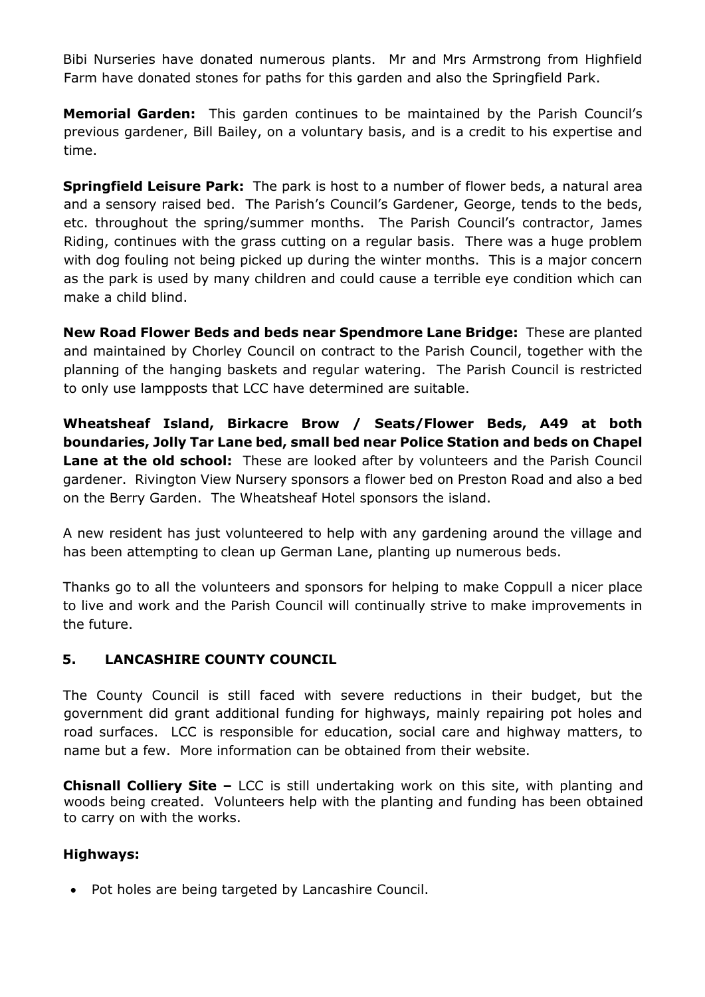Bibi Nurseries have donated numerous plants. Mr and Mrs Armstrong from Highfield Farm have donated stones for paths for this garden and also the Springfield Park.

**Memorial Garden:** This garden continues to be maintained by the Parish Council's previous gardener, Bill Bailey, on a voluntary basis, and is a credit to his expertise and time.

**Springfield Leisure Park:** The park is host to a number of flower beds, a natural area and a sensory raised bed. The Parish's Council's Gardener, George, tends to the beds, etc. throughout the spring/summer months. The Parish Council's contractor, James Riding, continues with the grass cutting on a regular basis. There was a huge problem with dog fouling not being picked up during the winter months. This is a major concern as the park is used by many children and could cause a terrible eye condition which can make a child blind.

**New Road Flower Beds and beds near Spendmore Lane Bridge:** These are planted and maintained by Chorley Council on contract to the Parish Council, together with the planning of the hanging baskets and regular watering. The Parish Council is restricted to only use lampposts that LCC have determined are suitable.

**Wheatsheaf Island, Birkacre Brow / Seats/Flower Beds, A49 at both boundaries, Jolly Tar Lane bed, small bed near Police Station and beds on Chapel Lane at the old school:** These are looked after by volunteers and the Parish Council gardener. Rivington View Nursery sponsors a flower bed on Preston Road and also a bed on the Berry Garden. The Wheatsheaf Hotel sponsors the island.

A new resident has just volunteered to help with any gardening around the village and has been attempting to clean up German Lane, planting up numerous beds.

Thanks go to all the volunteers and sponsors for helping to make Coppull a nicer place to live and work and the Parish Council will continually strive to make improvements in the future.

#### **5. LANCASHIRE COUNTY COUNCIL**

The County Council is still faced with severe reductions in their budget, but the government did grant additional funding for highways, mainly repairing pot holes and road surfaces. LCC is responsible for education, social care and highway matters, to name but a few. More information can be obtained from their website.

**Chisnall Colliery Site –** LCC is still undertaking work on this site, with planting and woods being created. Volunteers help with the planting and funding has been obtained to carry on with the works.

#### **Highways:**

• Pot holes are being targeted by Lancashire Council.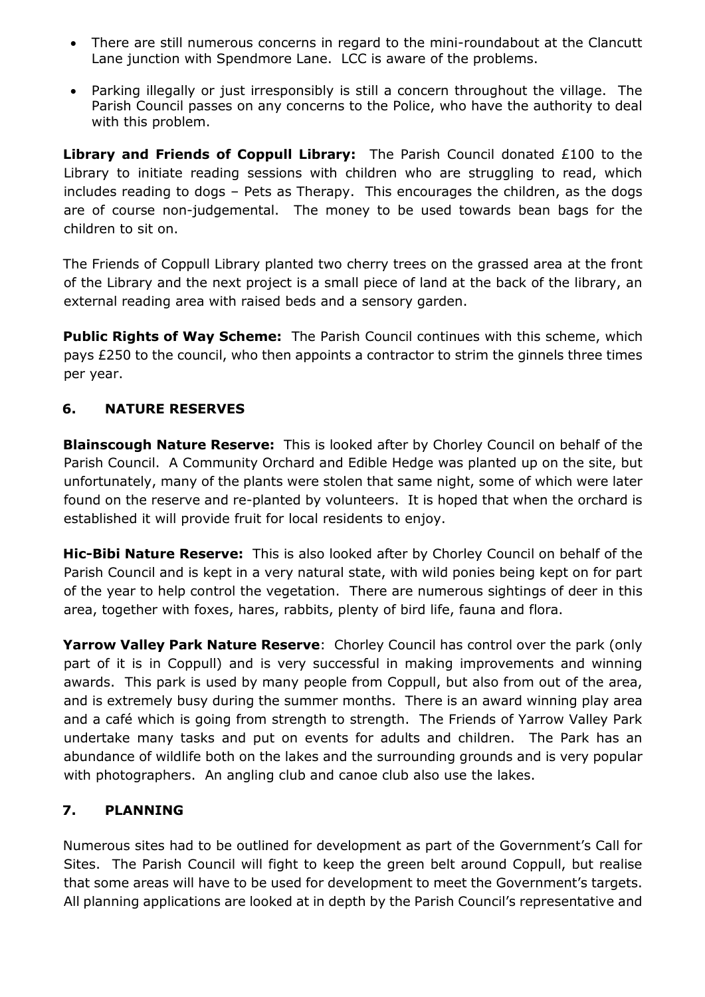- There are still numerous concerns in regard to the mini-roundabout at the Clancutt Lane junction with Spendmore Lane. LCC is aware of the problems.
- Parking illegally or just irresponsibly is still a concern throughout the village. The Parish Council passes on any concerns to the Police, who have the authority to deal with this problem.

**Library and Friends of Coppull Library:** The Parish Council donated £100 to the Library to initiate reading sessions with children who are struggling to read, which includes reading to dogs – Pets as Therapy. This encourages the children, as the dogs are of course non-judgemental. The money to be used towards bean bags for the children to sit on.

The Friends of Coppull Library planted two cherry trees on the grassed area at the front of the Library and the next project is a small piece of land at the back of the library, an external reading area with raised beds and a sensory garden.

**Public Rights of Way Scheme:** The Parish Council continues with this scheme, which pays £250 to the council, who then appoints a contractor to strim the ginnels three times per year.

# **6. NATURE RESERVES**

**Blainscough Nature Reserve:** This is looked after by Chorley Council on behalf of the Parish Council. A Community Orchard and Edible Hedge was planted up on the site, but unfortunately, many of the plants were stolen that same night, some of which were later found on the reserve and re-planted by volunteers. It is hoped that when the orchard is established it will provide fruit for local residents to enjoy.

**Hic-Bibi Nature Reserve:** This is also looked after by Chorley Council on behalf of the Parish Council and is kept in a very natural state, with wild ponies being kept on for part of the year to help control the vegetation. There are numerous sightings of deer in this area, together with foxes, hares, rabbits, plenty of bird life, fauna and flora.

**Yarrow Valley Park Nature Reserve**: Chorley Council has control over the park (only part of it is in Coppull) and is very successful in making improvements and winning awards. This park is used by many people from Coppull, but also from out of the area, and is extremely busy during the summer months. There is an award winning play area and a café which is going from strength to strength. The Friends of Yarrow Valley Park undertake many tasks and put on events for adults and children. The Park has an abundance of wildlife both on the lakes and the surrounding grounds and is very popular with photographers. An angling club and canoe club also use the lakes.

## **7. PLANNING**

Numerous sites had to be outlined for development as part of the Government's Call for Sites. The Parish Council will fight to keep the green belt around Coppull, but realise that some areas will have to be used for development to meet the Government's targets. All planning applications are looked at in depth by the Parish Council's representative and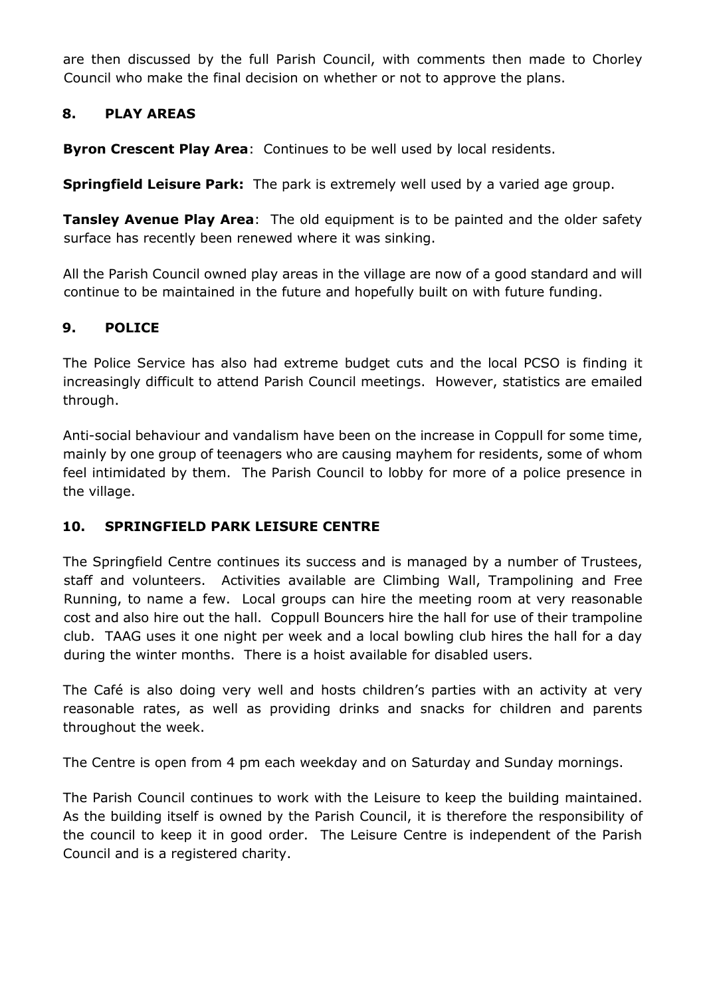are then discussed by the full Parish Council, with comments then made to Chorley Council who make the final decision on whether or not to approve the plans.

#### **8. PLAY AREAS**

**Byron Crescent Play Area**: Continues to be well used by local residents.

**Springfield Leisure Park:** The park is extremely well used by a varied age group.

**Tansley Avenue Play Area**: The old equipment is to be painted and the older safety surface has recently been renewed where it was sinking.

All the Parish Council owned play areas in the village are now of a good standard and will continue to be maintained in the future and hopefully built on with future funding.

#### **9. POLICE**

The Police Service has also had extreme budget cuts and the local PCSO is finding it increasingly difficult to attend Parish Council meetings. However, statistics are emailed through.

Anti-social behaviour and vandalism have been on the increase in Coppull for some time, mainly by one group of teenagers who are causing mayhem for residents, some of whom feel intimidated by them. The Parish Council to lobby for more of a police presence in the village.

## **10. SPRINGFIELD PARK LEISURE CENTRE**

The Springfield Centre continues its success and is managed by a number of Trustees, staff and volunteers. Activities available are Climbing Wall, Trampolining and Free Running, to name a few. Local groups can hire the meeting room at very reasonable cost and also hire out the hall. Coppull Bouncers hire the hall for use of their trampoline club. TAAG uses it one night per week and a local bowling club hires the hall for a day during the winter months. There is a hoist available for disabled users.

The Café is also doing very well and hosts children's parties with an activity at very reasonable rates, as well as providing drinks and snacks for children and parents throughout the week.

The Centre is open from 4 pm each weekday and on Saturday and Sunday mornings.

The Parish Council continues to work with the Leisure to keep the building maintained. As the building itself is owned by the Parish Council, it is therefore the responsibility of the council to keep it in good order. The Leisure Centre is independent of the Parish Council and is a registered charity.